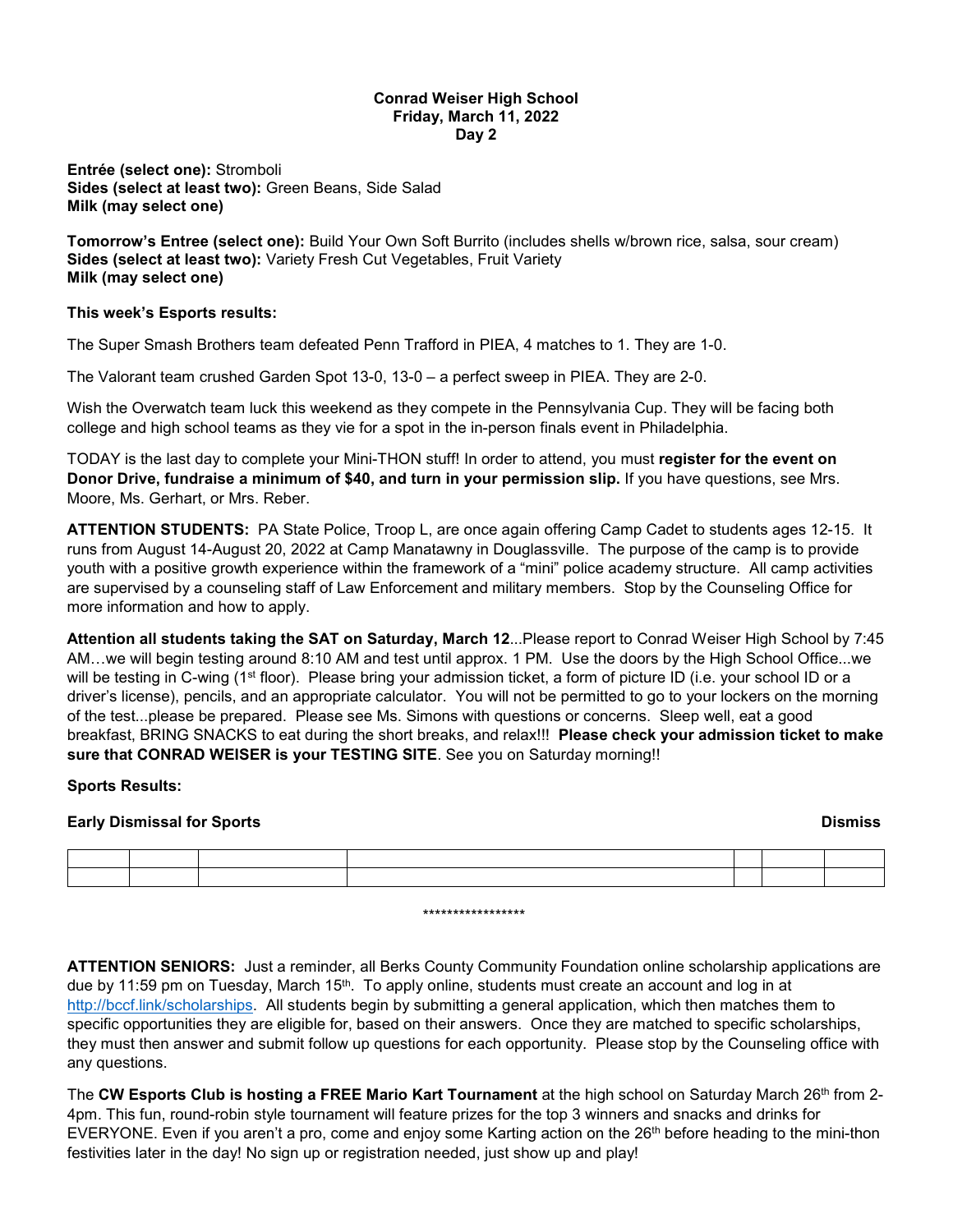## **Conrad Weiser High School Friday, March 11, 2022 Day 2**

**Entrée (select one):** Stromboli **Sides (select at least two):** Green Beans, Side Salad **Milk (may select one)**

**Tomorrow's Entree (select one):** Build Your Own Soft Burrito (includes shells w/brown rice, salsa, sour cream) **Sides (select at least two):** Variety Fresh Cut Vegetables, Fruit Variety **Milk (may select one)**

## **This week's Esports results:**

The Super Smash Brothers team defeated Penn Trafford in PIEA, 4 matches to 1. They are 1-0.

The Valorant team crushed Garden Spot 13-0, 13-0 – a perfect sweep in PIEA. They are 2-0.

Wish the Overwatch team luck this weekend as they compete in the Pennsylvania Cup. They will be facing both college and high school teams as they vie for a spot in the in-person finals event in Philadelphia.

TODAY is the last day to complete your Mini-THON stuff! In order to attend, you must **register for the event on Donor Drive, fundraise a minimum of \$40, and turn in your permission slip.** If you have questions, see Mrs. Moore, Ms. Gerhart, or Mrs. Reber.

**ATTENTION STUDENTS:** PA State Police, Troop L, are once again offering Camp Cadet to students ages 12-15. It runs from August 14-August 20, 2022 at Camp Manatawny in Douglassville. The purpose of the camp is to provide youth with a positive growth experience within the framework of a "mini" police academy structure. All camp activities are supervised by a counseling staff of Law Enforcement and military members. Stop by the Counseling Office for more information and how to apply.

**Attention all students taking the SAT on Saturday, March 12**...Please report to Conrad Weiser High School by 7:45 AM…we will begin testing around 8:10 AM and test until approx. 1 PM. Use the doors by the High School Office...we will be testing in C-wing (1<sup>st</sup> floor). Please bring your admission ticket, a form of picture ID (i.e. your school ID or a driver's license), pencils, and an appropriate calculator. You will not be permitted to go to your lockers on the morning of the test...please be prepared. Please see Ms. Simons with questions or concerns. Sleep well, eat a good breakfast, BRING SNACKS to eat during the short breaks, and relax!!! **Please check your admission ticket to make sure that CONRAD WEISER is your TESTING SITE**. See you on Saturday morning!!

## **Sports Results:**

## **Early Dismissal for Sports Dismiss**

\*\*\*\*\*\*\*\*\*\*\*\*\*\*\*\*\*

**ATTENTION SENIORS:** Just a reminder, all Berks County Community Foundation online scholarship applications are due by 11:59 pm on Tuesday, March 15<sup>th</sup>. To apply online, students must create an account and log in at [http://bccf.link/scholarships.](http://bccf.link/scholarships) All students begin by submitting a general application, which then matches them to specific opportunities they are eligible for, based on their answers. Once they are matched to specific scholarships, they must then answer and submit follow up questions for each opportunity. Please stop by the Counseling office with any questions.

The **CW Esports Club is hosting a FREE Mario Kart Tournament** at the high school on Saturday March 26th from 2-4pm. This fun, round-robin style tournament will feature prizes for the top 3 winners and snacks and drinks for EVERYONE. Even if you aren't a pro, come and enjoy some Karting action on the  $26<sup>th</sup>$  before heading to the mini-thon festivities later in the day! No sign up or registration needed, just show up and play!